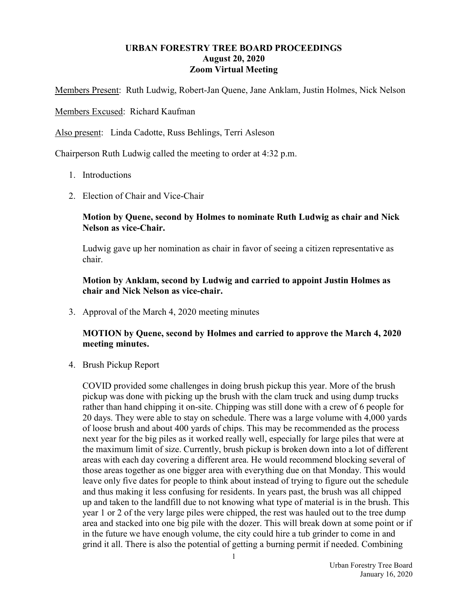## URBAN FORESTRY TREE BOARD PROCEEDINGS August 20, 2020 Zoom Virtual Meeting

Members Present: Ruth Ludwig, Robert-Jan Quene, Jane Anklam, Justin Holmes, Nick Nelson

Members Excused: Richard Kaufman

Also present: Linda Cadotte, Russ Behlings, Terri Asleson

Chairperson Ruth Ludwig called the meeting to order at 4:32 p.m.

- 1. Introductions
- 2. Election of Chair and Vice-Chair

## Motion by Quene, second by Holmes to nominate Ruth Ludwig as chair and Nick Nelson as vice-Chair.

Ludwig gave up her nomination as chair in favor of seeing a citizen representative as chair.

## Motion by Anklam, second by Ludwig and carried to appoint Justin Holmes as chair and Nick Nelson as vice-chair.

3. Approval of the March 4, 2020 meeting minutes

## MOTION by Quene, second by Holmes and carried to approve the March 4, 2020 meeting minutes.

4. Brush Pickup Report

COVID provided some challenges in doing brush pickup this year. More of the brush pickup was done with picking up the brush with the clam truck and using dump trucks rather than hand chipping it on-site. Chipping was still done with a crew of 6 people for 20 days. They were able to stay on schedule. There was a large volume with 4,000 yards of loose brush and about 400 yards of chips. This may be recommended as the process next year for the big piles as it worked really well, especially for large piles that were at the maximum limit of size. Currently, brush pickup is broken down into a lot of different areas with each day covering a different area. He would recommend blocking several of those areas together as one bigger area with everything due on that Monday. This would leave only five dates for people to think about instead of trying to figure out the schedule and thus making it less confusing for residents. In years past, the brush was all chipped up and taken to the landfill due to not knowing what type of material is in the brush. This year 1 or 2 of the very large piles were chipped, the rest was hauled out to the tree dump area and stacked into one big pile with the dozer. This will break down at some point or if in the future we have enough volume, the city could hire a tub grinder to come in and grind it all. There is also the potential of getting a burning permit if needed. Combining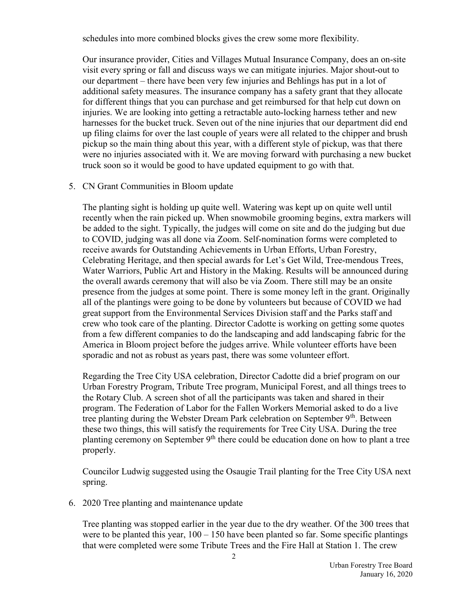schedules into more combined blocks gives the crew some more flexibility.

Our insurance provider, Cities and Villages Mutual Insurance Company, does an on-site visit every spring or fall and discuss ways we can mitigate injuries. Major shout-out to our department – there have been very few injuries and Behlings has put in a lot of additional safety measures. The insurance company has a safety grant that they allocate for different things that you can purchase and get reimbursed for that help cut down on injuries. We are looking into getting a retractable auto-locking harness tether and new harnesses for the bucket truck. Seven out of the nine injuries that our department did end up filing claims for over the last couple of years were all related to the chipper and brush pickup so the main thing about this year, with a different style of pickup, was that there were no injuries associated with it. We are moving forward with purchasing a new bucket truck soon so it would be good to have updated equipment to go with that.

5. CN Grant Communities in Bloom update

The planting sight is holding up quite well. Watering was kept up on quite well until recently when the rain picked up. When snowmobile grooming begins, extra markers will be added to the sight. Typically, the judges will come on site and do the judging but due to COVID, judging was all done via Zoom. Self-nomination forms were completed to receive awards for Outstanding Achievements in Urban Efforts, Urban Forestry, Celebrating Heritage, and then special awards for Let's Get Wild, Tree-mendous Trees, Water Warriors, Public Art and History in the Making. Results will be announced during the overall awards ceremony that will also be via Zoom. There still may be an onsite presence from the judges at some point. There is some money left in the grant. Originally all of the plantings were going to be done by volunteers but because of COVID we had great support from the Environmental Services Division staff and the Parks staff and crew who took care of the planting. Director Cadotte is working on getting some quotes from a few different companies to do the landscaping and add landscaping fabric for the America in Bloom project before the judges arrive. While volunteer efforts have been sporadic and not as robust as years past, there was some volunteer effort.

Regarding the Tree City USA celebration, Director Cadotte did a brief program on our Urban Forestry Program, Tribute Tree program, Municipal Forest, and all things trees to the Rotary Club. A screen shot of all the participants was taken and shared in their program. The Federation of Labor for the Fallen Workers Memorial asked to do a live tree planting during the Webster Dream Park celebration on September 9<sup>th</sup>. Between these two things, this will satisfy the requirements for Tree City USA. During the tree planting ceremony on September  $9<sup>th</sup>$  there could be education done on how to plant a tree properly.

Councilor Ludwig suggested using the Osaugie Trail planting for the Tree City USA next spring.

6. 2020 Tree planting and maintenance update

Tree planting was stopped earlier in the year due to the dry weather. Of the 300 trees that were to be planted this year,  $100 - 150$  have been planted so far. Some specific plantings that were completed were some Tribute Trees and the Fire Hall at Station 1. The crew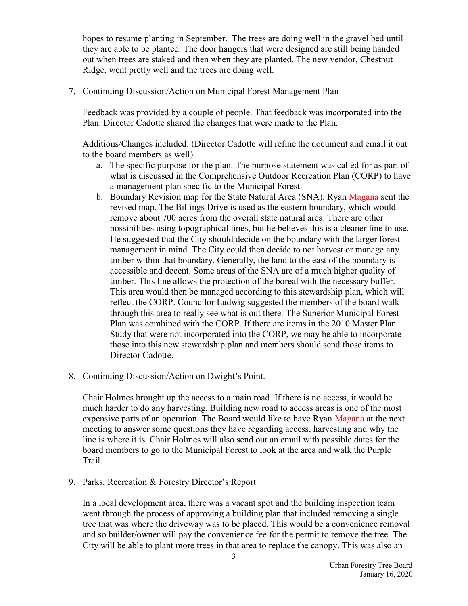hopes to resume planting in September. The trees are doing well in the gravel bed until they are able to be planted. The door hangers that were designed are still being handed out when trees are staked and then when they are planted. The new vendor, Chestnut Ridge, went pretty well and the trees are doing well.

7. Continuing Discussion/Action on Municipal Forest Management Plan

Feedback was provided by a couple of people. That feedback was incorporated into the Plan. Director Cadotte shared the changes that were made to the Plan.

Additions/Changes included: (Director Cadotte will refine the document and email it out to the board members as well)

- a. The specific purpose for the plan. The purpose statement was called for as part of what is discussed in the Comprehensive Outdoor Recreation Plan (CORP) to have a management plan specific to the Municipal Forest.
- b. Boundary Revision map for the State Natural Area (SNA). Ryan Magana sent the revised map. The Billings Drive is used as the eastern boundary, which would remove about 700 acres from the overall state natural area. There are other possibilities using topographical lines, but he believes this is a cleaner line to use. He suggested that the City should decide on the boundary with the larger forest management in mind. The City could then decide to not harvest or manage any timber within that boundary. Generally, the land to the east of the boundary is accessible and decent. Some areas of the SNA are of a much higher quality of timber. This line allows the protection of the boreal with the necessary buffer. This area would then be managed according to this stewardship plan, which will reflect the CORP. Councilor Ludwig suggested the members of the board walk through this area to really see what is out there. The Superior Municipal Forest Plan was combined with the CORP. If there are items in the 2010 Master Plan Study that were not incorporated into the CORP, we may be able to incorporate those into this new stewardship plan and members should send those items to Director Cadotte.
- 8. Continuing Discussion/Action on Dwight's Point.

Chair Holmes brought up the access to a main road. If there is no access, it would be much harder to do any harvesting. Building new road to access areas is one of the most expensive parts of an operation. The Board would like to have Ryan Magana at the next meeting to answer some questions they have regarding access, harvesting and why the line is where it is. Chair Holmes will also send out an email with possible dates for the board members to go to the Municipal Forest to look at the area and walk the Purple Trail.

9. Parks, Recreation & Forestry Director's Report

In a local development area, there was a vacant spot and the building inspection team went through the process of approving a building plan that included removing a single tree that was where the driveway was to be placed. This would be a convenience removal and so builder/owner will pay the convenience fee for the permit to remove the tree. The City will be able to plant more trees in that area to replace the canopy. This was also an